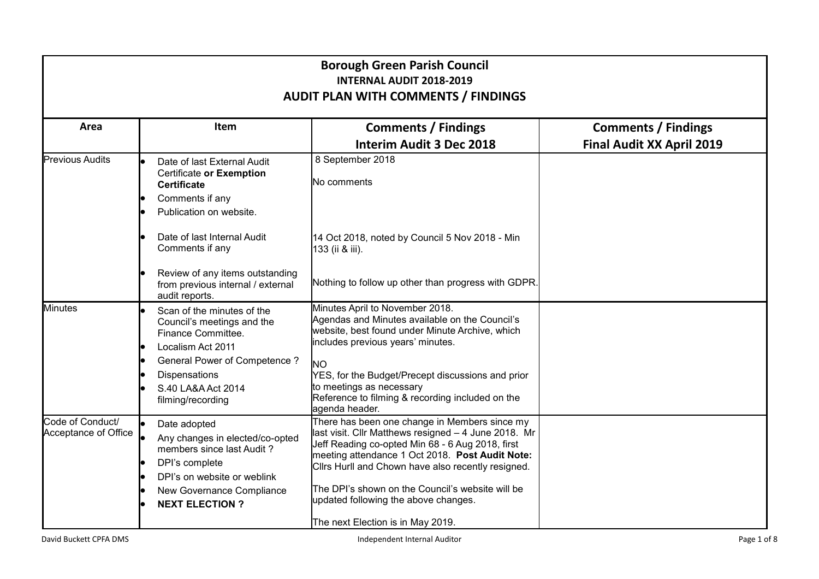| <b>Borough Green Parish Council</b><br><b>INTERNAL AUDIT 2018-2019</b><br><b>AUDIT PLAN WITH COMMENTS / FINDINGS</b> |                                                                                                                                                                                     |                                                                                                                                                                                                                                                                                                                                                                |                                                                |  |
|----------------------------------------------------------------------------------------------------------------------|-------------------------------------------------------------------------------------------------------------------------------------------------------------------------------------|----------------------------------------------------------------------------------------------------------------------------------------------------------------------------------------------------------------------------------------------------------------------------------------------------------------------------------------------------------------|----------------------------------------------------------------|--|
| Area                                                                                                                 | Item                                                                                                                                                                                | <b>Comments / Findings</b><br><b>Interim Audit 3 Dec 2018</b>                                                                                                                                                                                                                                                                                                  | <b>Comments / Findings</b><br><b>Final Audit XX April 2019</b> |  |
| <b>Previous Audits</b>                                                                                               | Date of last External Audit<br>Certificate or Exemption<br><b>Certificate</b><br>Comments if any<br>Publication on website.                                                         | 8 September 2018<br>No comments                                                                                                                                                                                                                                                                                                                                |                                                                |  |
|                                                                                                                      | Date of last Internal Audit<br>Comments if any                                                                                                                                      | 14 Oct 2018, noted by Council 5 Nov 2018 - Min<br>133 (ii & iii).                                                                                                                                                                                                                                                                                              |                                                                |  |
|                                                                                                                      | Review of any items outstanding<br>from previous internal / external<br>audit reports.                                                                                              | Nothing to follow up other than progress with GDPR.                                                                                                                                                                                                                                                                                                            |                                                                |  |
| <b>Minutes</b>                                                                                                       | Scan of the minutes of the<br>Council's meetings and the<br>Finance Committee.<br>Localism Act 2011<br><b>General Power of Competence?</b>                                          | Minutes April to November 2018.<br>Agendas and Minutes available on the Council's<br>website, best found under Minute Archive, which<br>includes previous years' minutes.<br><b>NO</b>                                                                                                                                                                         |                                                                |  |
|                                                                                                                      | <b>Dispensations</b><br>S.40 LA&A Act 2014<br>filming/recording                                                                                                                     | YES, for the Budget/Precept discussions and prior<br>to meetings as necessary<br>Reference to filming & recording included on the<br>agenda header.                                                                                                                                                                                                            |                                                                |  |
| Code of Conduct/<br>Acceptance of Office                                                                             | Date adopted<br>Any changes in elected/co-opted<br>members since last Audit?<br>DPI's complete<br>DPI's on website or weblink<br>New Governance Compliance<br><b>NEXT ELECTION?</b> | There has been one change in Members since my<br>last visit. Cllr Matthews resigned - 4 June 2018. Mr<br>Jeff Reading co-opted Min 68 - 6 Aug 2018, first<br>meeting attendance 1 Oct 2018. Post Audit Note:<br>Clirs Hurll and Chown have also recently resigned.<br>The DPI's shown on the Council's website will be<br>updated following the above changes. |                                                                |  |
|                                                                                                                      |                                                                                                                                                                                     | The next Election is in May 2019.                                                                                                                                                                                                                                                                                                                              |                                                                |  |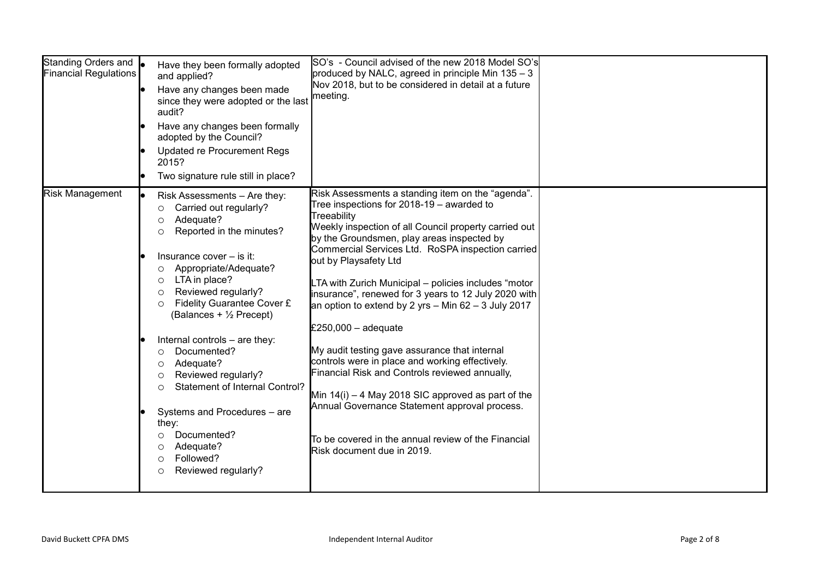| Standing Orders and <b>o</b><br><b>Financial Regulations</b> | Have they been formally adopted<br>and applied?<br>Have any changes been made<br>since they were adopted or the last<br>audit?<br>Have any changes been formally<br>adopted by the Council?<br><b>Updated re Procurement Regs</b><br>2015?<br>Two signature rule still in place?                                                                                                                                                                                                                                                                                                                                                     | SO's - Council advised of the new 2018 Model SO's<br>produced by NALC, agreed in principle Min 135 - 3<br>Nov 2018, but to be considered in detail at a future<br>meeting.                                                                                                                                                                                                                                                                                                                                                                                                                                                                                                                                                                                                                                                                                   |  |
|--------------------------------------------------------------|--------------------------------------------------------------------------------------------------------------------------------------------------------------------------------------------------------------------------------------------------------------------------------------------------------------------------------------------------------------------------------------------------------------------------------------------------------------------------------------------------------------------------------------------------------------------------------------------------------------------------------------|--------------------------------------------------------------------------------------------------------------------------------------------------------------------------------------------------------------------------------------------------------------------------------------------------------------------------------------------------------------------------------------------------------------------------------------------------------------------------------------------------------------------------------------------------------------------------------------------------------------------------------------------------------------------------------------------------------------------------------------------------------------------------------------------------------------------------------------------------------------|--|
| <b>Risk Management</b>                                       | Risk Assessments - Are they:<br>Carried out regularly?<br>O<br>Adequate?<br>$\circ$<br>Reported in the minutes?<br>$\circ$<br>Insurance cover $-$ is it:<br>Appropriate/Adequate?<br>$\circ$<br>LTA in place?<br>$\circ$<br>Reviewed regularly?<br>$\circ$<br>Fidelity Guarantee Cover £<br>$\circ$<br>(Balances + 1/2 Precept)<br>Internal controls - are they:<br>Documented?<br>$\circ$<br>Adequate?<br>O<br>Reviewed regularly?<br>$\circ$<br>Statement of Internal Control?<br>$\circ$<br>Systems and Procedures - are<br>they:<br>Documented?<br>O<br>Adequate?<br>O<br>Followed?<br>$\circ$<br>Reviewed regularly?<br>$\circ$ | Risk Assessments a standing item on the "agenda".<br>Tree inspections for $2018-19$ – awarded to<br>Treeability<br>Weekly inspection of all Council property carried out<br>by the Groundsmen, play areas inspected by<br>Commercial Services Ltd. RoSPA inspection carried<br>out by Playsafety Ltd<br>LTA with Zurich Municipal - policies includes "motor<br>insurance", renewed for 3 years to 12 July 2020 with<br>an option to extend by 2 yrs $-$ Min 62 $-$ 3 July 2017<br>£250,000 $-$ adequate<br>My audit testing gave assurance that internal<br>controls were in place and working effectively.<br>Financial Risk and Controls reviewed annually,<br>Min $14(i) - 4$ May 2018 SIC approved as part of the<br>Annual Governance Statement approval process.<br>To be covered in the annual review of the Financial<br>Risk document due in 2019. |  |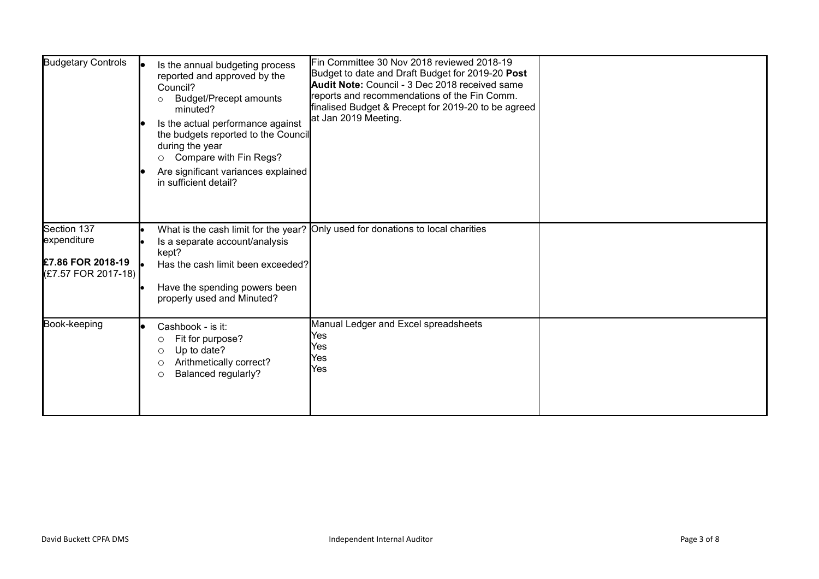| <b>Budgetary Controls</b>                                                     | Is the annual budgeting process<br>reported and approved by the<br>Council?<br><b>Budget/Precept amounts</b><br>$\circ$<br>minuted?<br>Is the actual performance against<br>the budgets reported to the Council<br>during the year<br>Compare with Fin Regs?<br>$\circ$<br>Are significant variances explained<br>in sufficient detail? | Fin Committee 30 Nov 2018 reviewed 2018-19<br>Budget to date and Draft Budget for 2019-20 Post<br><b>Audit Note: Council - 3 Dec 2018 received same</b><br>reports and recommendations of the Fin Comm.<br>finalised Budget & Precept for 2019-20 to be agreed<br>at Jan 2019 Meeting. |  |
|-------------------------------------------------------------------------------|-----------------------------------------------------------------------------------------------------------------------------------------------------------------------------------------------------------------------------------------------------------------------------------------------------------------------------------------|----------------------------------------------------------------------------------------------------------------------------------------------------------------------------------------------------------------------------------------------------------------------------------------|--|
| Section 137<br>expenditure<br><b>£7.86 FOR 2018-19</b><br>(£7.57 FOR 2017-18) | Is a separate account/analysis<br>kept?<br>Has the cash limit been exceeded?<br>Have the spending powers been<br>properly used and Minuted?                                                                                                                                                                                             | What is the cash limit for the year? Only used for donations to local charities                                                                                                                                                                                                        |  |
| Book-keeping                                                                  | Cashbook - is it:<br>Fit for purpose?<br>O<br>Up to date?<br>$\circ$<br>Arithmetically correct?<br>$\circ$<br>Balanced regularly?<br>$\circ$                                                                                                                                                                                            | Manual Ledger and Excel spreadsheets<br>Yes<br>Yes<br>Yes<br>Yes                                                                                                                                                                                                                       |  |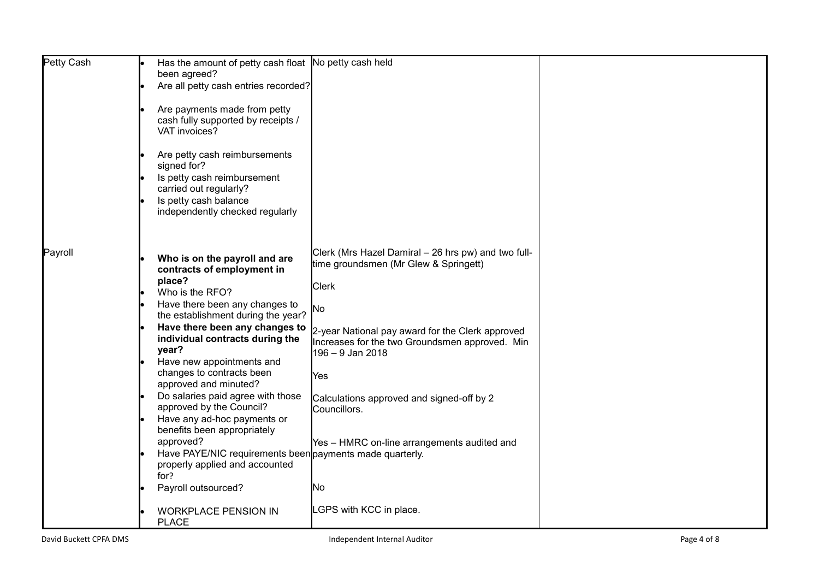| Petty Cash | Has the amount of petty cash float No petty cash held    |                                                     |  |
|------------|----------------------------------------------------------|-----------------------------------------------------|--|
|            | been agreed?                                             |                                                     |  |
|            | Are all petty cash entries recorded?                     |                                                     |  |
|            |                                                          |                                                     |  |
|            |                                                          |                                                     |  |
|            | Are payments made from petty                             |                                                     |  |
|            | cash fully supported by receipts /                       |                                                     |  |
|            | VAT invoices?                                            |                                                     |  |
|            |                                                          |                                                     |  |
|            | Are petty cash reimbursements                            |                                                     |  |
|            | signed for?                                              |                                                     |  |
|            | Is petty cash reimbursement                              |                                                     |  |
|            |                                                          |                                                     |  |
|            | carried out regularly?                                   |                                                     |  |
|            | Is petty cash balance                                    |                                                     |  |
|            | independently checked regularly                          |                                                     |  |
|            |                                                          |                                                     |  |
|            |                                                          |                                                     |  |
|            |                                                          |                                                     |  |
| Payroll    | Who is on the payroll and are                            | Clerk (Mrs Hazel Damiral - 26 hrs pw) and two full- |  |
|            |                                                          | time groundsmen (Mr Glew & Springett)               |  |
|            | contracts of employment in                               |                                                     |  |
|            | place?                                                   | <b>Clerk</b>                                        |  |
|            | Who is the RFO?                                          |                                                     |  |
|            | Have there been any changes to                           | No                                                  |  |
|            | the establishment during the year?                       |                                                     |  |
|            | Have there been any changes to                           |                                                     |  |
|            | individual contracts during the                          | 2-year National pay award for the Clerk approved    |  |
|            | year?                                                    | Increases for the two Groundsmen approved. Min      |  |
|            |                                                          | 196 - 9 Jan 2018                                    |  |
|            | Have new appointments and                                |                                                     |  |
|            | changes to contracts been                                | Yes                                                 |  |
|            | approved and minuted?                                    |                                                     |  |
|            | Do salaries paid agree with those                        | Calculations approved and signed-off by 2           |  |
|            | approved by the Council?                                 | Councillors.                                        |  |
|            | Have any ad-hoc payments or                              |                                                     |  |
|            | benefits been appropriately                              |                                                     |  |
|            | approved?                                                |                                                     |  |
|            |                                                          | Yes - HMRC on-line arrangements audited and         |  |
|            | Have PAYE/NIC requirements been payments made quarterly. |                                                     |  |
|            | properly applied and accounted                           |                                                     |  |
|            | for?                                                     |                                                     |  |
|            | Payroll outsourced?                                      | INo.                                                |  |
|            |                                                          |                                                     |  |
|            | <b>WORKPLACE PENSION IN</b>                              | LGPS with KCC in place.                             |  |
|            | <b>PLACE</b>                                             |                                                     |  |
|            |                                                          |                                                     |  |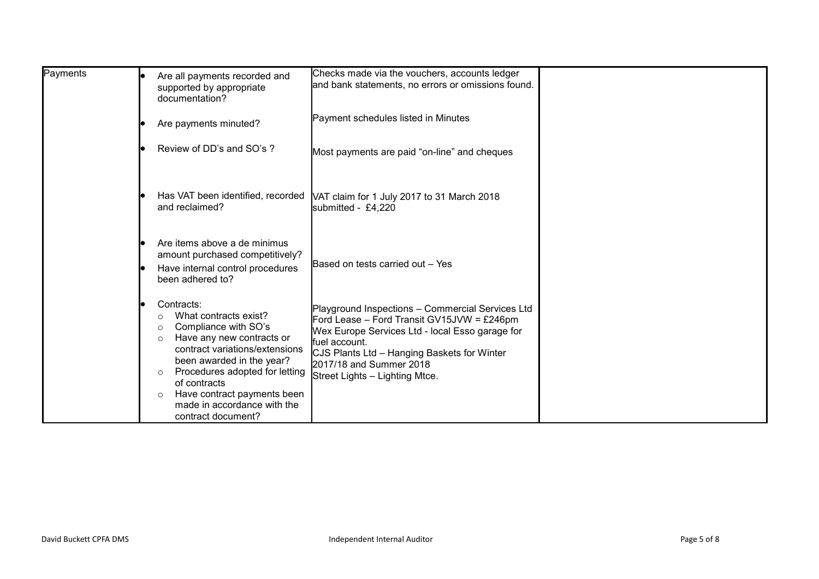| Payments | Are all payments recorded and<br>supported by appropriate<br>documentation?                                                                                                                                                                                                                                                                          | Checks made via the vouchers, accounts ledger<br>and bank statements, no errors or omissions found.                                                                                                                                                                            |  |
|----------|------------------------------------------------------------------------------------------------------------------------------------------------------------------------------------------------------------------------------------------------------------------------------------------------------------------------------------------------------|--------------------------------------------------------------------------------------------------------------------------------------------------------------------------------------------------------------------------------------------------------------------------------|--|
|          | Are payments minuted?                                                                                                                                                                                                                                                                                                                                | Payment schedules listed in Minutes                                                                                                                                                                                                                                            |  |
|          | Review of DD's and SO's ?                                                                                                                                                                                                                                                                                                                            | Most payments are paid "on-line" and cheques                                                                                                                                                                                                                                   |  |
|          | Has VAT been identified, recorded<br>and reclaimed?                                                                                                                                                                                                                                                                                                  | VAT claim for 1 July 2017 to 31 March 2018<br>submitted - £4,220                                                                                                                                                                                                               |  |
|          | Are items above a de minimus<br>amount purchased competitively?<br>Have internal control procedures<br>been adhered to?                                                                                                                                                                                                                              | Based on tests carried out - Yes                                                                                                                                                                                                                                               |  |
|          | Contracts:<br>What contracts exist?<br>$\circ$<br>Compliance with SO's<br>$\circ$<br>Have any new contracts or<br>$\circ$<br>contract variations/extensions<br>been awarded in the year?<br>Procedures adopted for letting<br>$\circ$<br>of contracts<br>Have contract payments been<br>$\circ$<br>made in accordance with the<br>contract document? | Playground Inspections - Commercial Services Ltd<br>Ford Lease - Ford Transit GV15JVW = £246pm<br>Wex Europe Services Ltd - local Esso garage for<br>fuel account.<br>CJS Plants Ltd - Hanging Baskets for Winter<br>2017/18 and Summer 2018<br>Street Lights - Lighting Mtce. |  |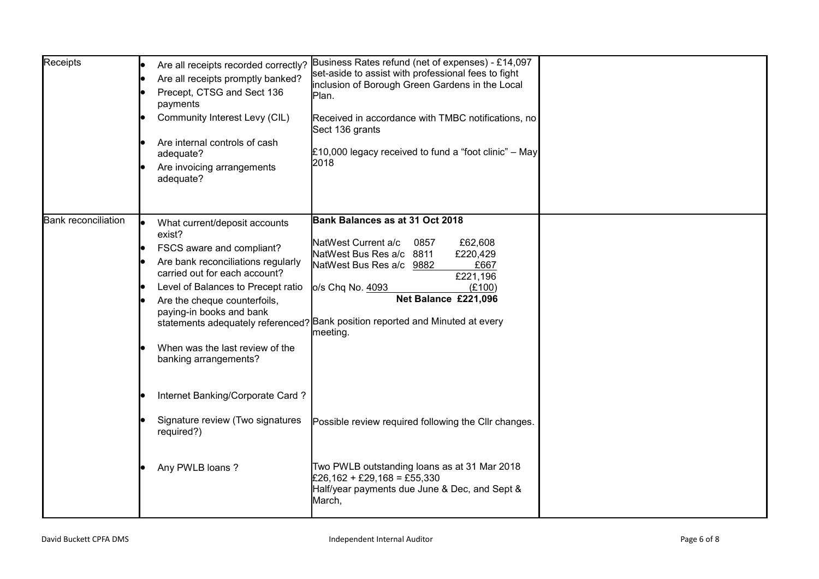| Receipts                   | Are all receipts recorded correctly?<br>Are all receipts promptly banked?<br>Precept, CTSG and Sect 136<br>payments<br>Community Interest Levy (CIL)<br>Are internal controls of cash<br>adequate?<br>Are invoicing arrangements<br>adequate?                                                             | Business Rates refund (net of expenses) - £14,097<br>set-aside to assist with professional fees to fight<br>inclusion of Borough Green Gardens in the Local<br>Plan.<br>Received in accordance with TMBC notifications, no<br>Sect 136 grants<br>£10,000 legacy received to fund a "foot clinic" $-$ May<br>2018     |  |
|----------------------------|-----------------------------------------------------------------------------------------------------------------------------------------------------------------------------------------------------------------------------------------------------------------------------------------------------------|----------------------------------------------------------------------------------------------------------------------------------------------------------------------------------------------------------------------------------------------------------------------------------------------------------------------|--|
| <b>Bank reconciliation</b> | What current/deposit accounts<br>exist?<br>FSCS aware and compliant?<br>Are bank reconciliations regularly<br>carried out for each account?<br>Level of Balances to Precept ratio<br>Are the cheque counterfoils,<br>paying-in books and bank<br>When was the last review of the<br>banking arrangements? | Bank Balances as at 31 Oct 2018<br>NatWest Current a/c<br>0857<br>£62,608<br>NatWest Bus Res a/c 8811<br>£220,429<br>NatWest Bus Res a/c 9882<br>£667<br>£221,196<br>o/s Chq No. 4093<br>(E100)<br>Net Balance £221,096<br>statements adequately referenced? Bank position reported and Minuted at every<br>meeting. |  |
|                            | Internet Banking/Corporate Card?<br>Signature review (Two signatures<br>required?)<br>Any PWLB loans?                                                                                                                                                                                                     | Possible review required following the Cllr changes.<br>Two PWLB outstanding loans as at 31 Mar 2018<br>£26,162 + £29,168 = £55,330<br>Half/year payments due June & Dec, and Sept &<br>March,                                                                                                                       |  |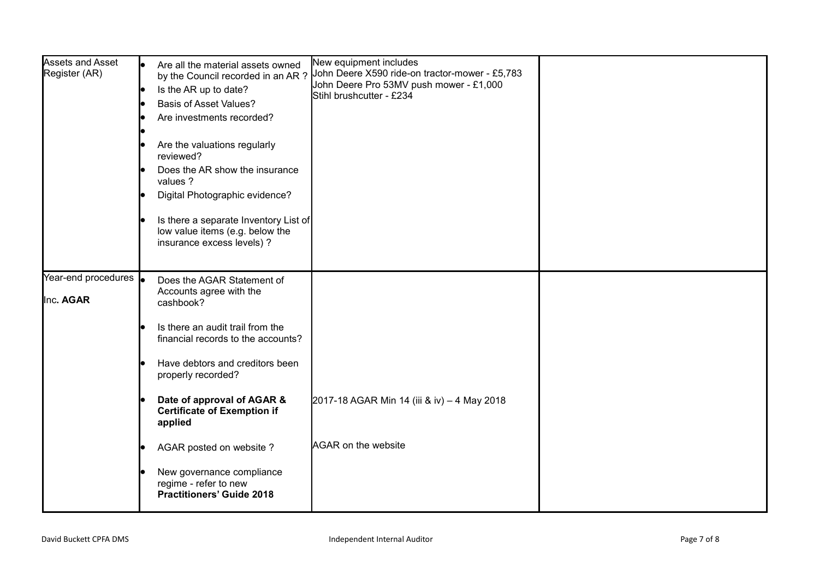| <b>Assets and Asset</b><br>Register (AR)  | Are all the material assets owned<br>by the Council recorded in an AR?<br>Is the AR up to date?<br><b>Basis of Asset Values?</b><br>Are investments recorded?<br>Are the valuations regularly<br>reviewed?<br>Does the AR show the insurance<br>values ?<br>Digital Photographic evidence?<br>Is there a separate Inventory List of<br>low value items (e.g. below the<br>insurance excess levels) ? | New equipment includes<br>John Deere X590 ride-on tractor-mower - £5,783<br>John Deere Pro 53MV push mower - £1,000<br>Stihl brushcutter - £234 |  |
|-------------------------------------------|------------------------------------------------------------------------------------------------------------------------------------------------------------------------------------------------------------------------------------------------------------------------------------------------------------------------------------------------------------------------------------------------------|-------------------------------------------------------------------------------------------------------------------------------------------------|--|
| Year-end procedures <b>o</b><br>Inc. AGAR | Does the AGAR Statement of<br>Accounts agree with the<br>cashbook?<br>Is there an audit trail from the<br>financial records to the accounts?<br>Have debtors and creditors been<br>properly recorded?<br>Date of approval of AGAR &<br><b>Certificate of Exemption if</b><br>applied                                                                                                                 | 2017-18 AGAR Min 14 (iii & iv) - 4 May 2018                                                                                                     |  |
|                                           | <b>AGAR</b> on the website<br>AGAR posted on website?<br>New governance compliance<br>regime - refer to new<br><b>Practitioners' Guide 2018</b>                                                                                                                                                                                                                                                      |                                                                                                                                                 |  |